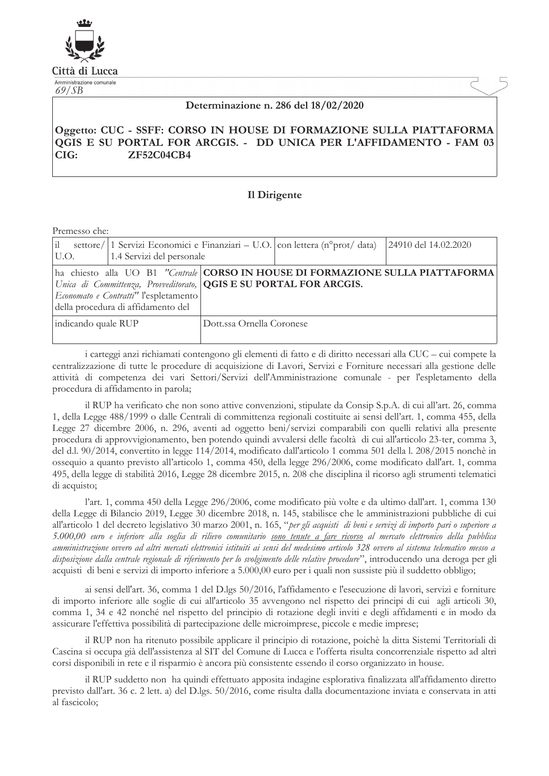

Città di Lucca Amministrazione comunale

 $69/SB$ 

## Determinazione n. 286 del 18/02/2020

## Oggetto: CUC - SSFF: CORSO IN HOUSE DI FORMAZIONE SULLA PIATTAFORMA QGIS E SU PORTAL FOR ARCGIS. - DD UNICA PER L'AFFIDAMENTO - FAM 03  $CIG:$ **ZF52C04CB4**

## Il Dirigente

Premesso che:

| i <br>U.O.                                                                                                                                                                                                                                        | settore/ 1 Servizi Economici e Finanziari – U.O. $ $ con lettera (n <sup>o</sup> prot/ data)<br>1.4 Servizi del personale |                           | 24910 del 14.02.2020 |
|---------------------------------------------------------------------------------------------------------------------------------------------------------------------------------------------------------------------------------------------------|---------------------------------------------------------------------------------------------------------------------------|---------------------------|----------------------|
| ha chiesto alla UO B1 "Centrale CORSO IN HOUSE DI FORMAZIONE SULLA PIATTAFORMA<br>Unica di Committenza, Provveditorato, <b>QGIS E SU PORTAL FOR ARCGIS.</b><br><i>Economato e Contratti"</i> l'espletamento<br>della procedura di affidamento del |                                                                                                                           |                           |                      |
| indicando quale RUP                                                                                                                                                                                                                               |                                                                                                                           | Dott.ssa Ornella Coronese |                      |

i carteggi anzi richiamati contengono gli elementi di fatto e di diritto necessari alla CUC – cui compete la centralizzazione di tutte le procedure di acquisizione di Lavori, Servizi e Forniture necessari alla gestione delle attività di competenza dei vari Settori/Servizi dell'Amministrazione comunale - per l'espletamento della procedura di affidamento in parola;

il RUP ha verificato che non sono attive convenzioni, stipulate da Consip S.p.A. di cui all'art. 26, comma 1, della Legge 488/1999 o dalle Centrali di committenza regionali costituite ai sensi dell'art. 1, comma 455, della Legge 27 dicembre 2006, n. 296, aventi ad oggetto beni/servizi comparabili con quelli relativi alla presente procedura di approvvigionamento, ben potendo quindi avvalersi delle facoltà di cui all'articolo 23-ter, comma 3, del d.l. 90/2014, convertito in legge 114/2014, modificato dall'articolo 1 comma 501 della l. 208/2015 nonchè in osseguio a quanto previsto all'articolo 1, comma 450, della legge 296/2006, come modificato dall'art. 1, comma 495, della legge di stabilità 2016, Legge 28 dicembre 2015, n. 208 che disciplina il ricorso agli strumenti telematici di acquisto;

l'art. 1, comma 450 della Legge 296/2006, come modificato più volte e da ultimo dall'art. 1, comma 130 della Legge di Bilancio 2019, Legge 30 dicembre 2018, n. 145, stabilisce che le amministrazioni pubbliche di cui all'articolo 1 del decreto legislativo 30 marzo 2001, n. 165, "per gli acquisti di beni e servizi di importo pari o superiore a 5.000,00 euro e inferiore alla soglia di rilievo comunitario <u>sono tenute a fare ricorso</u> al mercato elettronico della pubblica amministrazione ovvero ad altri mercati elettronici istituiti ai sensi del medesimo articolo 328 ovvero al sistema telematico messo a disposizione dalla centrale regionale di riferimento per lo svolgimento delle relative procedure", introducendo una deroga per gli acquisti di beni e servizi di importo inferiore a 5.000,00 euro per i quali non sussiste più il suddetto obbligo;

ai sensi dell'art. 36, comma 1 del D.lgs 50/2016, l'affidamento e l'esecuzione di lavori, servizi e forniture di importo inferiore alle soglie di cui all'articolo 35 avvengono nel rispetto dei principi di cui agli articoli 30, comma 1, 34 e 42 nonché nel rispetto del principio di rotazione degli inviti e degli affidamenti e in modo da assicurare l'effettiva possibilità di partecipazione delle microimprese, piccole e medie imprese;

il RUP non ha ritenuto possibile applicare il principio di rotazione, poichè la ditta Sistemi Territoriali di Cascina si occupa già dell'assistenza al SIT del Comune di Lucca e l'offerta risulta concorrenziale rispetto ad altri corsi disponibili in rete e il risparmio è ancora più consistente essendo il corso organizzato in house.

il RUP suddetto non ha quindi effettuato apposita indagine esplorativa finalizzata all'affidamento diretto previsto dall'art. 36 c. 2 lett. a) del D.lgs. 50/2016, come risulta dalla documentazione inviata e conservata in attial fascicolo;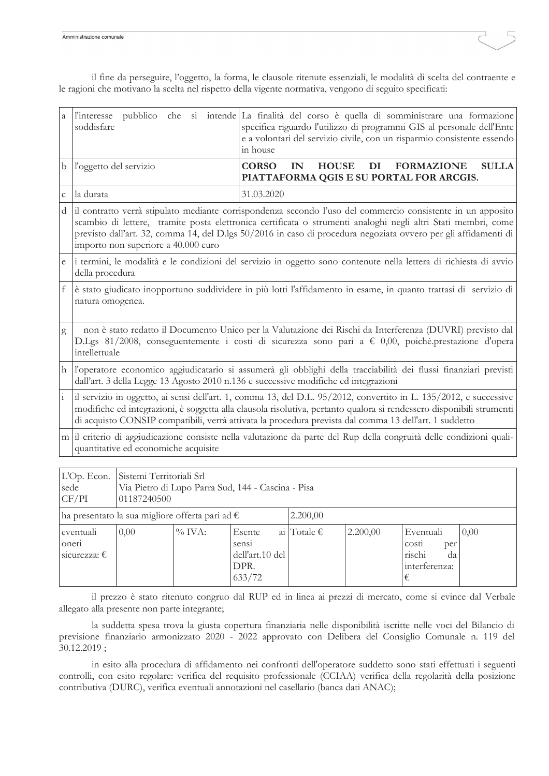il fine da perseguire, l'oggetto, la forma, le clausole ritenute essenziali, le modalità di scelta del contraente e le ragioni che motivano la scelta nel rispetto della vigente normativa, vengono di seguito specificati:

| a            | <i>l'interesse</i><br>soddisfare                                                                                                                                                                                                                                                                                                                                                       | pubblico che si intende La finalità del corso è quella di somministrare una formazione<br>specifica riguardo l'utilizzo di programmi GIS al personale dell'Ente<br>e a volontari del servizio civile, con un risparmio consistente essendo<br>in house |  |  |  |
|--------------|----------------------------------------------------------------------------------------------------------------------------------------------------------------------------------------------------------------------------------------------------------------------------------------------------------------------------------------------------------------------------------------|--------------------------------------------------------------------------------------------------------------------------------------------------------------------------------------------------------------------------------------------------------|--|--|--|
| b            | l'oggetto del servizio                                                                                                                                                                                                                                                                                                                                                                 | DI<br><b>SULLA</b><br><b>CORSO</b><br>IN<br><b>HOUSE</b><br><b>FORMAZIONE</b><br>PIATTAFORMA QGIS E SU PORTAL FOR ARCGIS.                                                                                                                              |  |  |  |
| $\mathsf{C}$ | la durata                                                                                                                                                                                                                                                                                                                                                                              | 31.03.2020                                                                                                                                                                                                                                             |  |  |  |
| d            | il contratto verrà stipulato mediante corrispondenza secondo l'uso del commercio consistente in un apposito<br>scambio di lettere, tramite posta elettronica certificata o strumenti analoghi negli altri Stati membri, come<br>previsto dall'art. 32, comma 14, del D.lgs 50/2016 in caso di procedura negoziata ovvero per gli affidamenti di<br>importo non superiore a 40.000 euro |                                                                                                                                                                                                                                                        |  |  |  |
| e            | i termini, le modalità e le condizioni del servizio in oggetto sono contenute nella lettera di richiesta di avvio<br>della procedura                                                                                                                                                                                                                                                   |                                                                                                                                                                                                                                                        |  |  |  |
| f            | è stato giudicato inopportuno suddividere in più lotti l'affidamento in esame, in quanto trattasi di servizio di<br>natura omogenea.                                                                                                                                                                                                                                                   |                                                                                                                                                                                                                                                        |  |  |  |
| g            | non è stato redatto il Documento Unico per la Valutazione dei Rischi da Interferenza (DUVRI) previsto dal<br>D.Lgs 81/2008, conseguentemente i costi di sicurezza sono pari a € 0,00, poichè.prestazione d'opera<br>intellettuale                                                                                                                                                      |                                                                                                                                                                                                                                                        |  |  |  |
| h            | l'operatore economico aggiudicatario si assumerà gli obblighi della tracciabilità dei flussi finanziari previsti<br>dall'art. 3 della Legge 13 Agosto 2010 n.136 e successive modifiche ed integrazioni                                                                                                                                                                                |                                                                                                                                                                                                                                                        |  |  |  |
|              | il servizio in oggetto, ai sensi dell'art. 1, comma 13, del D.L. 95/2012, convertito in L. 135/2012, e successive<br>modifiche ed integrazioni, è soggetta alla clausola risolutiva, pertanto qualora si rendessero disponibili strumenti<br>di acquisto CONSIP compatibili, verrà attivata la procedura prevista dal comma 13 dell'art. 1 suddetto                                    |                                                                                                                                                                                                                                                        |  |  |  |
|              | m il criterio di aggiudicazione consiste nella valutazione da parte del Rup della congruità delle condizioni quali-<br>quantitative ed economiche acquisite                                                                                                                                                                                                                            |                                                                                                                                                                                                                                                        |  |  |  |
|              |                                                                                                                                                                                                                                                                                                                                                                                        |                                                                                                                                                                                                                                                        |  |  |  |

| L'Op. Econ.<br>sede<br>CF/PI                                         | Sistemi Territoriali Srl<br>Via Pietro di Lupo Parra Sud, 144 - Cascina - Pisa<br>01187240500 |           |                                                      |                      |          |                                                                 |      |
|----------------------------------------------------------------------|-----------------------------------------------------------------------------------------------|-----------|------------------------------------------------------|----------------------|----------|-----------------------------------------------------------------|------|
| ha presentato la sua migliore offerta pari ad $\epsilon$<br>2.200,00 |                                                                                               |           |                                                      |                      |          |                                                                 |      |
| eventuali<br>oneri<br>sicurezza: $\epsilon$                          | 0,00                                                                                          | $\%$ IVA: | Esente<br>sensi<br>dell'art.10 del<br>DPR.<br>633/72 | ai Totale $\epsilon$ | 2.200,00 | Eventuali<br>costi<br>per<br>rischi<br>da<br>interferenza:<br>€ | 0,00 |

il prezzo è stato ritenuto congruo dal RUP ed in linea ai prezzi di mercato, come si evince dal Verbale allegato alla presente non parte integrante;

la suddetta spesa trova la giusta copertura finanziaria nelle disponibilità iscritte nelle voci del Bilancio di previsione finanziario armonizzato 2020 - 2022 approvato con Delibera del Consiglio Comunale n. 119 del  $30.12.2019;$ 

in esito alla procedura di affidamento nei confronti dell'operatore suddetto sono stati effettuati i seguenti controlli, con esito regolare: verifica del requisito professionale (CCIAA) verifica della regolarità della posizione contributiva (DURC), verifica eventuali annotazioni nel casellario (banca dati ANAC);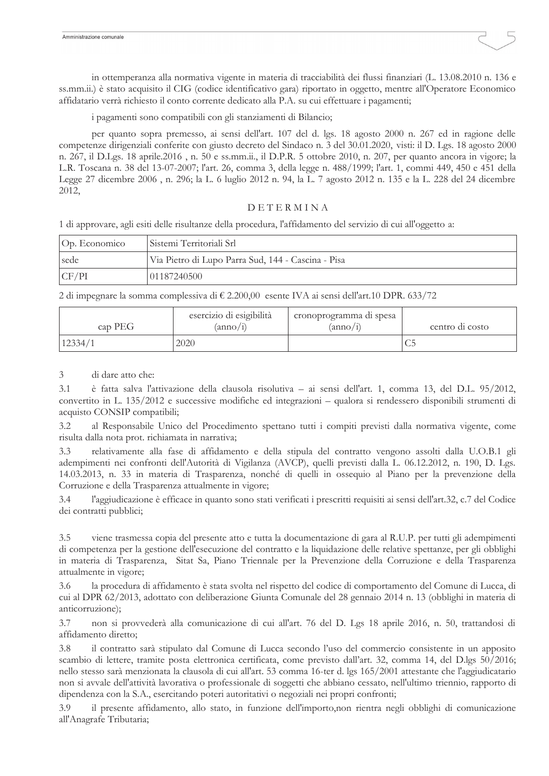in ottemperanza alla normativa vigente in materia di tracciabilità dei flussi finanziari (L. 13.08.2010 n. 136 e ss.mm.ii.) è stato acquisito il CIG (codice identificativo gara) riportato in oggetto, mentre all'Operatore Economico affidatario verrà richiesto il conto corrente dedicato alla P.A. su cui effettuare i pagamenti;

i pagamenti sono compatibili con gli stanziamenti di Bilancio;

per quanto sopra premesso, ai sensi dell'art. 107 del d. lgs. 18 agosto 2000 n. 267 ed in ragione delle competenze dirigenziali conferite con giusto decreto del Sindaco n. 3 del 30.01.2020, visti: il D. Lgs. 18 agosto 2000 n. 267, il D.Lgs. 18 aprile.2016, n. 50 e ss.mm.ii., il D.P.R. 5 ottobre 2010, n. 207, per quanto ancora in vigore; la L.R. Toscana n. 38 del 13-07-2007; l'art. 26, comma 3, della legge n. 488/1999; l'art. 1, commi 449, 450 e 451 della Legge 27 dicembre 2006, n. 296; la L. 6 luglio 2012 n. 94, la L. 7 agosto 2012 n. 135 e la L. 228 del 24 dicembre 2012,

## DETERMINA

1 di approvare, agli esiti delle risultanze della procedura, l'affidamento del servizio di cui all'oggetto a:

| Op. Economico | Sistemi Territoriali Srl                           |
|---------------|----------------------------------------------------|
| sede          | Via Pietro di Lupo Parra Sud, 144 - Cascina - Pisa |
| CF/PI         | 01187240500                                        |

2 di impegnare la somma complessiva di € 2.200,00 esente IVA ai sensi dell'art.10 DPR. 633/72

| cap PEG | esercizio di esigibilità<br>$(\text{anno}/1)$ | cronoprogramma di spesa<br>$(\text{anno}/1)$ | centro di costo |
|---------|-----------------------------------------------|----------------------------------------------|-----------------|
| 12334/1 | 2020                                          |                                              | ╰               |

 $\overline{3}$ di dare atto che:

 $3.1$ è fatta salva l'attivazione della clausola risolutiva – ai sensi dell'art. 1, comma 13, del D.L. 95/2012, convertito in L. 135/2012 e successive modifiche ed integrazioni – qualora si rendessero disponibili strumenti di acquisto CONSIP compatibili;

al Responsabile Unico del Procedimento spettano tutti i compiti previsti dalla normativa vigente, come  $3.2$ risulta dalla nota prot. richiamata in narrativa;

relativamente alla fase di affidamento e della stipula del contratto vengono assolti dalla U.O.B.1 gli  $3.3$ adempimenti nei confronti dell'Autorità di Vigilanza (AVCP), quelli previsti dalla L. 06.12.2012, n. 190, D. Lgs. 14.03.2013, n. 33 in materia di Trasparenza, nonché di quelli in ossequio al Piano per la prevenzione della Corruzione e della Trasparenza attualmente in vigore;

l'aggiudicazione è efficace in quanto sono stati verificati i prescritti requisiti ai sensi dell'art.32, c.7 del Codice  $3.4$ dei contratti pubblici;

viene trasmessa copia del presente atto e tutta la documentazione di gara al R.U.P. per tutti gli adempimenti  $3.5$ di competenza per la gestione dell'esecuzione del contratto e la liquidazione delle relative spettanze, per gli obblighi in materia di Trasparenza, Sitat Sa, Piano Triennale per la Prevenzione della Corruzione e della Trasparenza attualmente in vigore;

la procedura di affidamento è stata svolta nel rispetto del codice di comportamento del Comune di Lucca, di 3.6 cui al DPR 62/2013, adottato con deliberazione Giunta Comunale del 28 gennaio 2014 n. 13 (obblighi in materia di anticorruzione);

non si provvederà alla comunicazione di cui all'art. 76 del D. Lgs 18 aprile 2016, n. 50, trattandosi di 3.7 affidamento diretto:

3.8 il contratto sarà stipulato dal Comune di Lucca secondo l'uso del commercio consistente in un apposito scambio di lettere, tramite posta elettronica certificata, come previsto dall'art. 32, comma 14, del D.lgs 50/2016; nello stesso sarà menzionata la clausola di cui all'art. 53 comma 16-ter d. les 165/2001 attestante che l'aggiudicatario non si avvale dell'attività lavorativa o professionale di soggetti che abbiano cessato, nell'ultimo triennio, rapporto di dipendenza con la S.A., esercitando poteri autoritativi o negoziali nei propri confronti;

 $3.9$ il presente affidamento, allo stato, in funzione dell'importo, non rientra negli obblighi di comunicazione all'Anagrafe Tributaria;